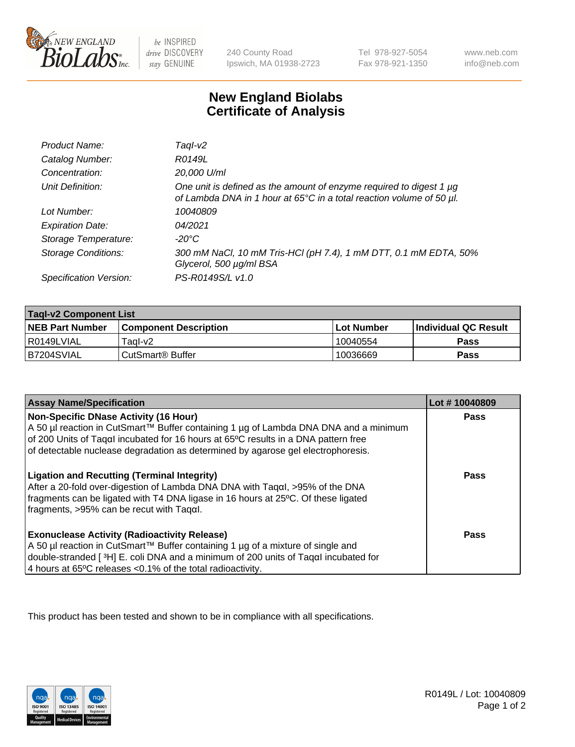

 $be$  INSPIRED drive DISCOVERY stay GENUINE

240 County Road Ipswich, MA 01938-2723 Tel 978-927-5054 Fax 978-921-1350 www.neb.com info@neb.com

## **New England Biolabs Certificate of Analysis**

| Product Name:              | Tagl-v2                                                                                                                                     |
|----------------------------|---------------------------------------------------------------------------------------------------------------------------------------------|
| Catalog Number:            | R0149L                                                                                                                                      |
| Concentration:             | 20,000 U/ml                                                                                                                                 |
| Unit Definition:           | One unit is defined as the amount of enzyme required to digest 1 µg<br>of Lambda DNA in 1 hour at 65°C in a total reaction volume of 50 µl. |
| Lot Number:                | 10040809                                                                                                                                    |
| <b>Expiration Date:</b>    | 04/2021                                                                                                                                     |
| Storage Temperature:       | -20°C                                                                                                                                       |
| <b>Storage Conditions:</b> | 300 mM NaCl, 10 mM Tris-HCl (pH 7.4), 1 mM DTT, 0.1 mM EDTA, 50%<br>Glycerol, 500 µg/ml BSA                                                 |
| Specification Version:     | PS-R0149S/L v1.0                                                                                                                            |

| <b>Tagl-v2 Component List</b> |                              |              |                             |  |
|-------------------------------|------------------------------|--------------|-----------------------------|--|
| <b>NEB Part Number</b>        | <b>Component Description</b> | l Lot Number | <b>Individual QC Result</b> |  |
| I R0149LVIAL                  | Tagl-v2                      | 10040554     | Pass                        |  |
| B7204SVIAL                    | CutSmart® Buffer             | 10036669     | Pass                        |  |

| <b>Assay Name/Specification</b>                                                                                                                                                                                                                                                                         | Lot #10040809 |
|---------------------------------------------------------------------------------------------------------------------------------------------------------------------------------------------------------------------------------------------------------------------------------------------------------|---------------|
| Non-Specific DNase Activity (16 Hour)<br>A 50 µl reaction in CutSmart™ Buffer containing 1 µg of Lambda DNA DNA and a minimum<br>of 200 Units of Taqal incubated for 16 hours at 65°C results in a DNA pattern free<br>of detectable nuclease degradation as determined by agarose gel electrophoresis. | Pass          |
| <b>Ligation and Recutting (Terminal Integrity)</b><br>After a 20-fold over-digestion of Lambda DNA DNA with Tagal, >95% of the DNA<br>fragments can be ligated with T4 DNA ligase in 16 hours at 25°C. Of these ligated<br>$\frac{1}{2}$ fragments, >95% can be recut with Tagal.                       | <b>Pass</b>   |
| <b>Exonuclease Activity (Radioactivity Release)</b><br>A 50 µl reaction in CutSmart™ Buffer containing 1 µg of a mixture of single and<br>double-stranded [3H] E. coli DNA and a minimum of 200 units of Taqαl incubated for<br>4 hours at 65°C releases < 0.1% of the total radioactivity.             | <b>Pass</b>   |

This product has been tested and shown to be in compliance with all specifications.